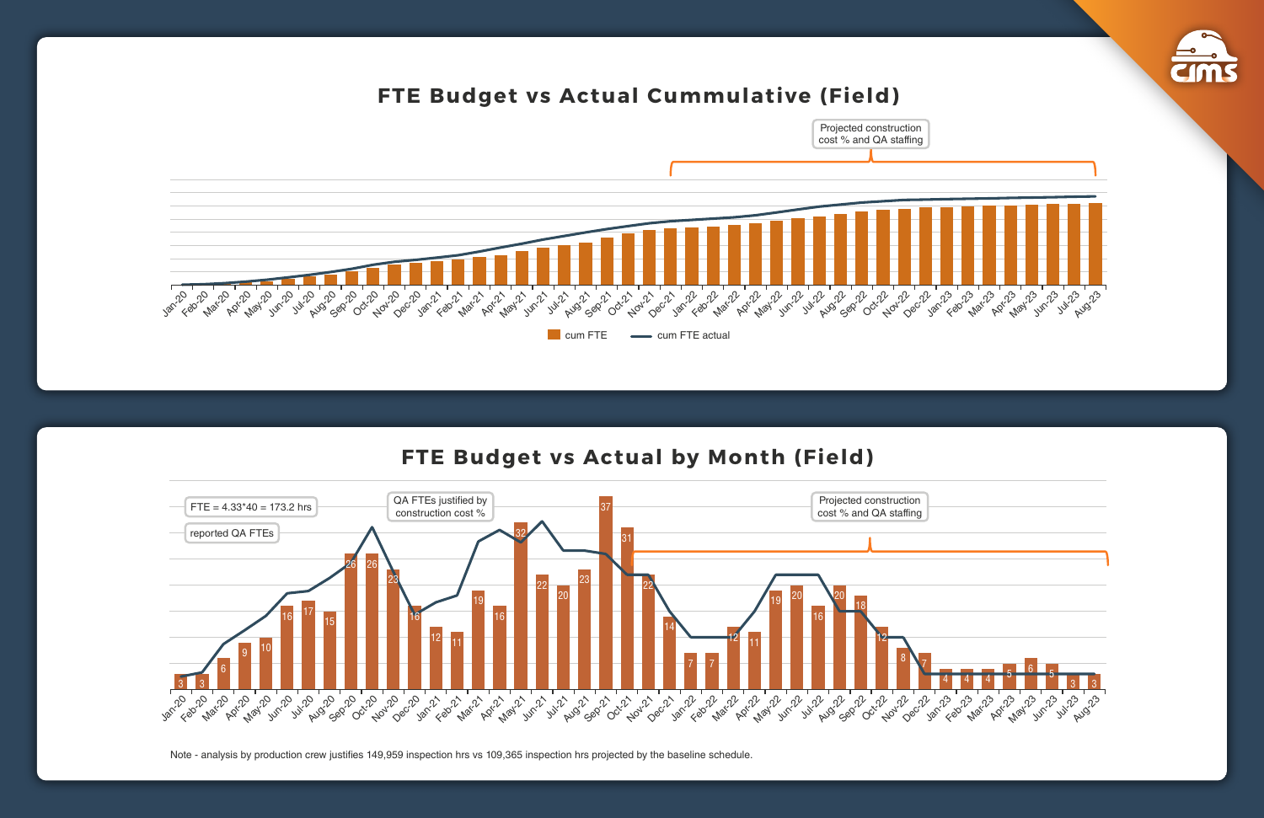

Note - analysis by production crew justies 149,959 inspection hrs vs 109,365 inspection hrs projected by the baseline schedule.





#### FTE Budget vs Actual by Month (Field)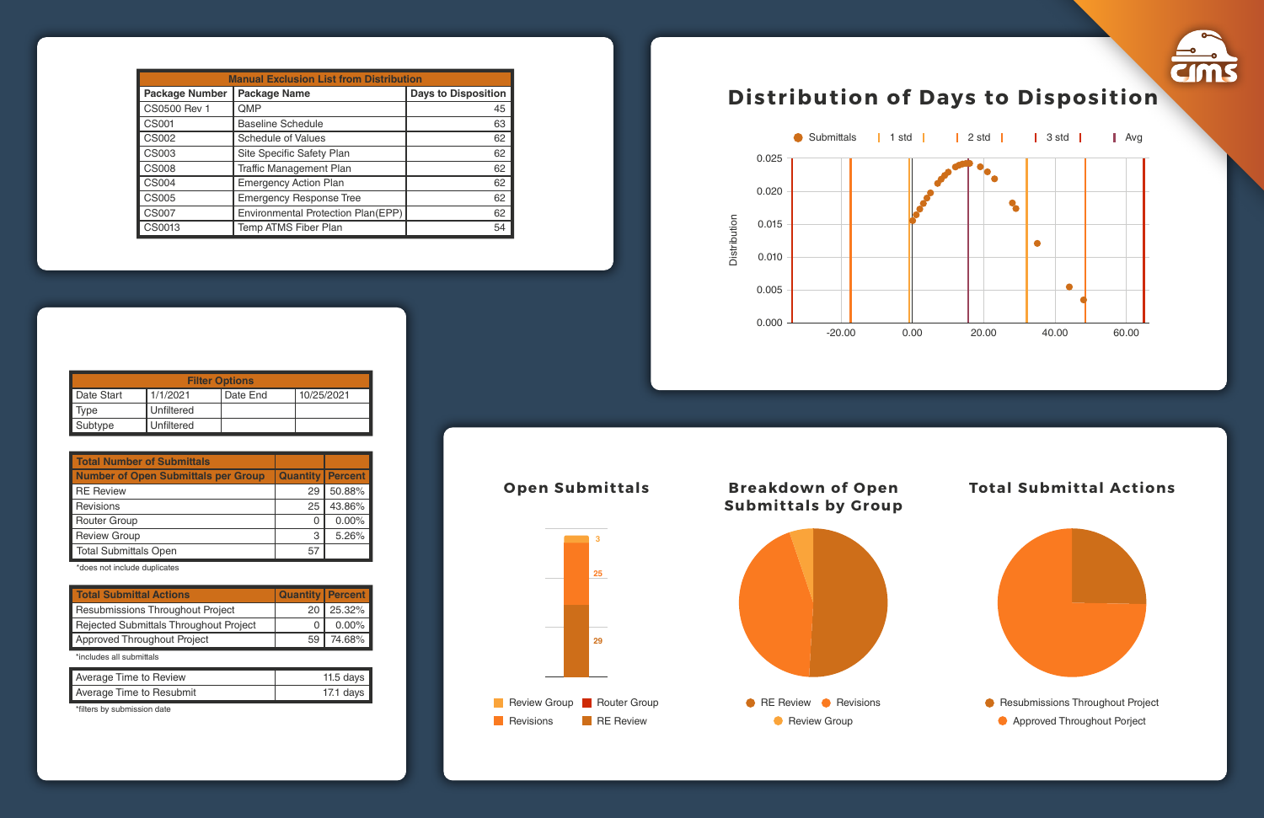| <b>Manual Exclusion List from Distribution</b> |                                    |                            |  |  |  |  |  |  |
|------------------------------------------------|------------------------------------|----------------------------|--|--|--|--|--|--|
| <b>Package Number</b>                          | <b>Package Name</b>                | <b>Days to Disposition</b> |  |  |  |  |  |  |
| CS0500 Rev 1                                   | QMP                                | 45                         |  |  |  |  |  |  |
| <b>CS001</b>                                   | <b>Baseline Schedule</b>           | 63                         |  |  |  |  |  |  |
| <b>CS002</b>                                   | <b>Schedule of Values</b>          | 62                         |  |  |  |  |  |  |
| <b>CS003</b>                                   | Site Specific Safety Plan          | 62                         |  |  |  |  |  |  |
| <b>CS008</b>                                   | <b>Traffic Management Plan</b>     | 62                         |  |  |  |  |  |  |
| <b>CS004</b>                                   | <b>Emergency Action Plan</b>       | 62                         |  |  |  |  |  |  |
| <b>CS005</b>                                   | <b>Emergency Response Tree</b>     | 62                         |  |  |  |  |  |  |
| <b>CS007</b>                                   | Environmental Protection Plan(EPP) | 62                         |  |  |  |  |  |  |
| CS0013                                         | Temp ATMS Fiber Plan               | 54                         |  |  |  |  |  |  |

### **Distribution of Days to Disposition**

**Submittals** | 1 std | | | 2 std | | | 3 std | | | Avg ●  $\bullet$  $\bullet$ -20.00 0.00 20.00 40.00 60.00





#### Total Submittal Actions





#### Breakdown of Open Submittals by Group



# Open Submittals

\*does not include duplicates

| Total Number of Submittals          |                           |          |
|-------------------------------------|---------------------------|----------|
| Number of Open Submittals per Group | <b>Quantity   Percent</b> |          |
| RE Review                           | 29                        | 50.88%   |
| Revisions                           | 25                        | 43.86%   |
| Router Group                        | 0                         | $0.00\%$ |
| Review Group                        | 3                         | 5.26%    |
| Total Submittals Open               | 57                        |          |

| <b>Filter Options</b>                            |            |  |  |  |  |  |  |  |  |
|--------------------------------------------------|------------|--|--|--|--|--|--|--|--|
| Date Start<br>1/1/2021<br>10/25/2021<br>Date End |            |  |  |  |  |  |  |  |  |
| ype                                              | Unfiltered |  |  |  |  |  |  |  |  |
| Subtype                                          | Unfiltered |  |  |  |  |  |  |  |  |

| <b>Total Submittal Actions</b>          |    | <b>Quantity Percent</b> |
|-----------------------------------------|----|-------------------------|
| <b>Resubmissions Throughout Project</b> | 20 | 25.32%                  |
| Rejected Submittals Throughout Project  |    | $0.00\%$                |
| <b>Approved Throughout Project</b>      | 59 | 74.68%                  |
| *includes all submittals                |    |                         |

| <b>Average Time to Review</b> | $11.5$ days |
|-------------------------------|-------------|
| Average Time to Resubmit      | 17.1 days   |

\*filters by submission date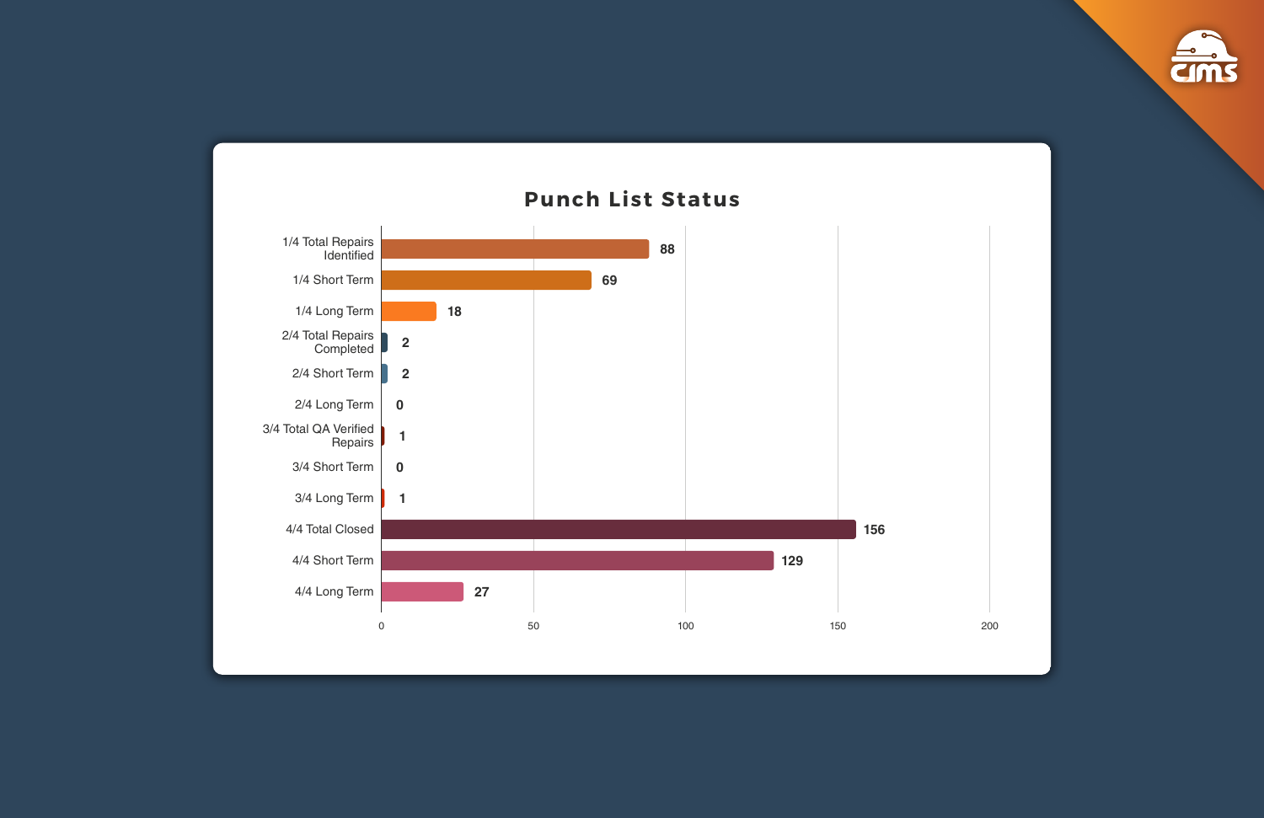



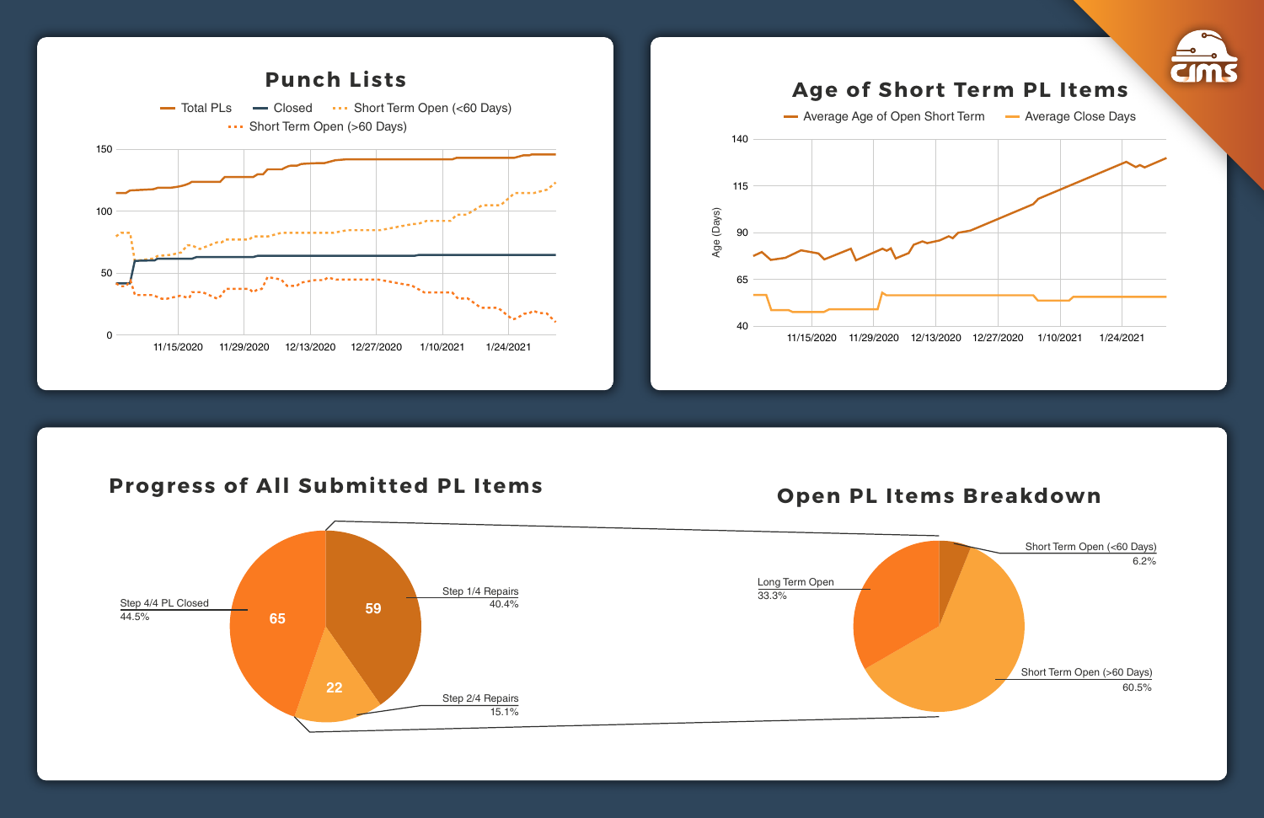



Short Term Open (<60 Days) Short Term Open (>60 Days) 6.2% 60.5%

#### Progress of All Submitted PL Items





#### Open PL Items Breakdown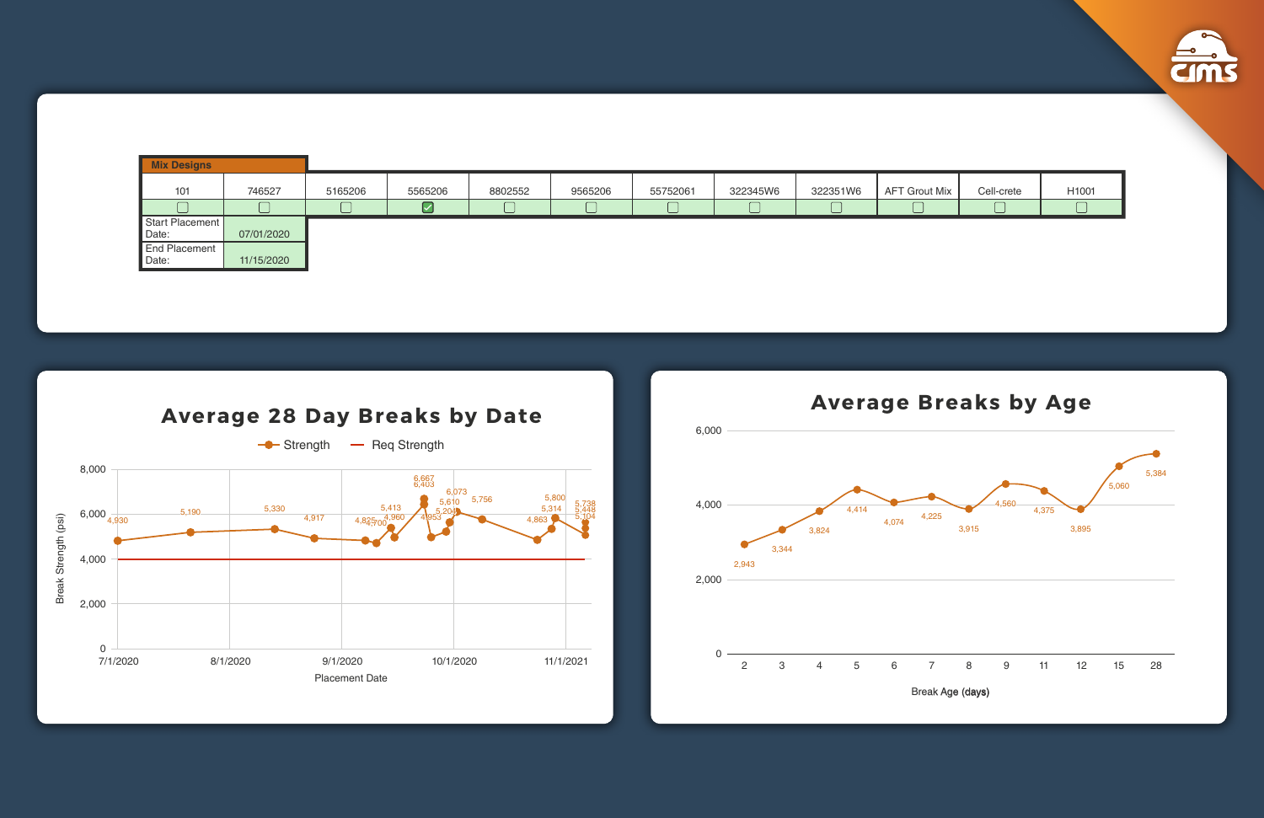| <b>Mix Designs</b>       |            |         |         |         |         |          |          |          |                      |            |       |
|--------------------------|------------|---------|---------|---------|---------|----------|----------|----------|----------------------|------------|-------|
| 101                      | 746527     | 5165206 | 5565206 | 8802552 | 9565206 | 55752061 | 322345W6 | 322351W6 | <b>AFT Grout Mix</b> | Cell-crete | H1001 |
|                          |            |         |         |         |         |          |          |          |                      |            |       |
| Start Placement<br>Date: | 07/01/2020 |         |         |         |         |          |          |          |                      |            |       |
| End Placement<br>Date:   | 11/15/2020 |         |         |         |         |          |          |          |                      |            |       |

### Average 28 Day Breaks by Date





#### Average Breaks by Age



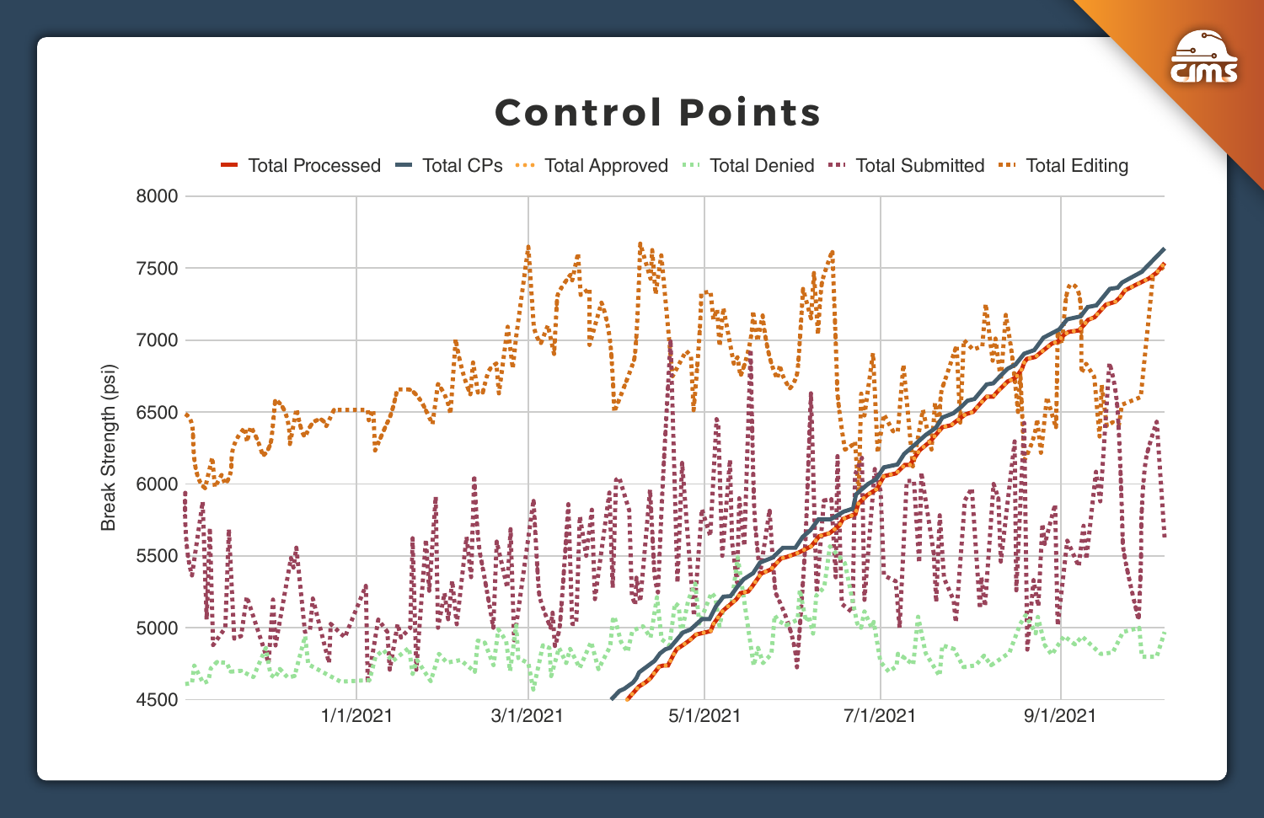# Control Points



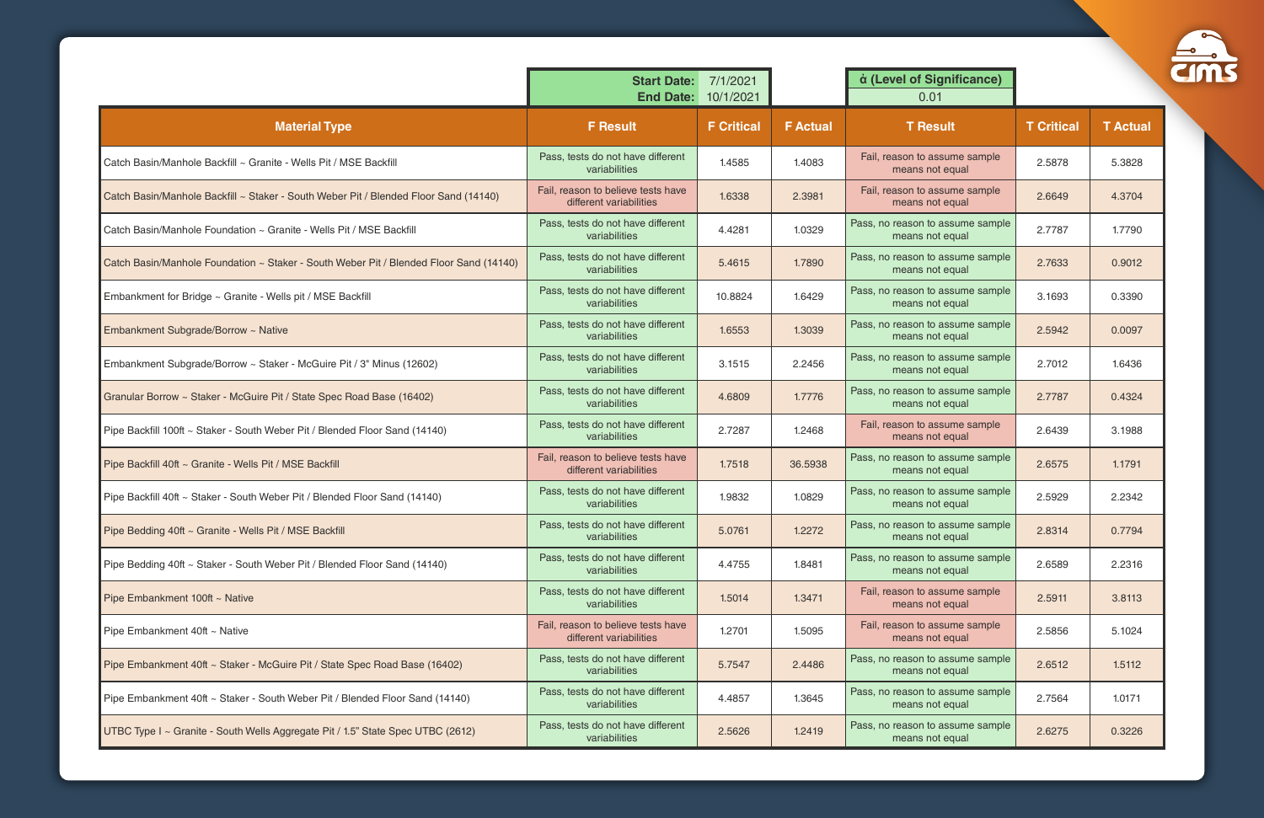|                                                                                        | <b>Start Date:</b><br><b>End Date:</b>                        | 7/1/2021<br>10/1/2021 |                 | ά (Level of Significance)<br>0.01                   |                   |                 |
|----------------------------------------------------------------------------------------|---------------------------------------------------------------|-----------------------|-----------------|-----------------------------------------------------|-------------------|-----------------|
| <b>Material Type</b>                                                                   | <b>F</b> Result                                               | <b>F</b> Critical     | <b>F</b> Actual | <b>T</b> Result                                     | <b>T</b> Critical | <b>T</b> Actual |
| Catch Basin/Manhole Backfill ~ Granite - Wells Pit / MSE Backfill                      | Pass, tests do not have different<br>variabilities            | 1.4585                | 1.4083          | Fail, reason to assume sample<br>means not equal    | 2.5878            | 5.3828          |
| Catch Basin/Manhole Backfill ~ Staker - South Weber Pit / Blended Floor Sand (14140)   | Fail, reason to believe tests have<br>different variabilities | 1.6338                | 2.3981          | Fail, reason to assume sample<br>means not equal    | 2.6649            | 4.3704          |
| Catch Basin/Manhole Foundation ~ Granite - Wells Pit / MSE Backfill                    | Pass, tests do not have different<br>variabilities            | 4.4281                | 1.0329          | Pass, no reason to assume sample<br>means not equal | 2.7787            | 1.7790          |
| Catch Basin/Manhole Foundation ~ Staker - South Weber Pit / Blended Floor Sand (14140) | Pass, tests do not have different<br>variabilities            | 5.4615                | 1.7890          | Pass, no reason to assume sample<br>means not equal | 2.7633            | 0.9012          |
| Embankment for Bridge ~ Granite - Wells pit / MSE Backfill                             | Pass, tests do not have different<br>variabilities            | 10.8824               | 1.6429          | Pass, no reason to assume sample<br>means not equal | 3.1693            | 0.3390          |
| Embankment Subgrade/Borrow ~ Native                                                    | Pass, tests do not have different<br>variabilities            | 1.6553                | 1.3039          | Pass, no reason to assume sample<br>means not equal | 2.5942            | 0.0097          |
| Embankment Subgrade/Borrow ~ Staker - McGuire Pit / 3" Minus (12602)                   | Pass, tests do not have different<br>variabilities            | 3.1515                | 2.2456          | Pass, no reason to assume sample<br>means not equal | 2.7012            | 1.6436          |
| Granular Borrow ~ Staker - McGuire Pit / State Spec Road Base (16402)                  | Pass, tests do not have different<br>variabilities            | 4.6809                | 1.7776          | Pass, no reason to assume sample<br>means not equal | 2.7787            | 0.4324          |
| Pipe Backfill 100ft ~ Staker - South Weber Pit / Blended Floor Sand (14140)            | Pass, tests do not have different<br>variabilities            | 2.7287                | 1.2468          | Fail, reason to assume sample<br>means not equal    | 2.6439            | 3.1988          |
| Pipe Backfill 40ft ~ Granite - Wells Pit / MSE Backfill                                | Fail, reason to believe tests have<br>different variabilities | 1.7518                | 36.5938         | Pass, no reason to assume sample<br>means not equal | 2.6575            | 1.1791          |
| Pipe Backfill 40ft ~ Staker - South Weber Pit / Blended Floor Sand (14140)             | Pass, tests do not have different<br>variabilities            | 1.9832                | 1.0829          | Pass, no reason to assume sample<br>means not equal | 2.5929            | 2.2342          |
| Pipe Bedding 40ft ~ Granite - Wells Pit / MSE Backfill                                 | Pass, tests do not have different<br>variabilities            | 5.0761                | 1.2272          | Pass, no reason to assume sample<br>means not equal | 2.8314            | 0.7794          |
| Pipe Bedding 40ft ~ Staker - South Weber Pit / Blended Floor Sand (14140)              | Pass, tests do not have different<br>variabilities            | 4.4755                | 1.8481          | Pass, no reason to assume sample<br>means not equal | 2.6589            | 2.2316          |
| Pipe Embankment 100ft ~ Native                                                         | Pass, tests do not have different<br>variabilities            | 1.5014                | 1.3471          | Fail, reason to assume sample<br>means not equal    | 2.5911            | 3.8113          |
| Pipe Embankment 40ft ~ Native                                                          | Fail, reason to believe tests have<br>different variabilities | 1.2701                | 1.5095          | Fail, reason to assume sample<br>means not equal    | 2.5856            | 5.1024          |
| Pipe Embankment 40ft ~ Staker - McGuire Pit / State Spec Road Base (16402)             | Pass, tests do not have different<br>variabilities            | 5.7547                | 2.4486          | Pass, no reason to assume sample<br>means not equal | 2.6512            | 1.5112          |
| Pipe Embankment 40ft ~ Staker - South Weber Pit / Blended Floor Sand (14140)           | Pass, tests do not have different<br>variabilities            | 4.4857                | 1.3645          | Pass, no reason to assume sample<br>means not equal | 2.7564            | 1.0171          |
| UTBC Type I ~ Granite - South Wells Aggregate Pit / 1.5" State Spec UTBC (2612)        | Pass, tests do not have different<br>variabilities            | 2.5626                | 1.2419          | Pass, no reason to assume sample<br>means not equal | 2.6275            | 0.3226          |